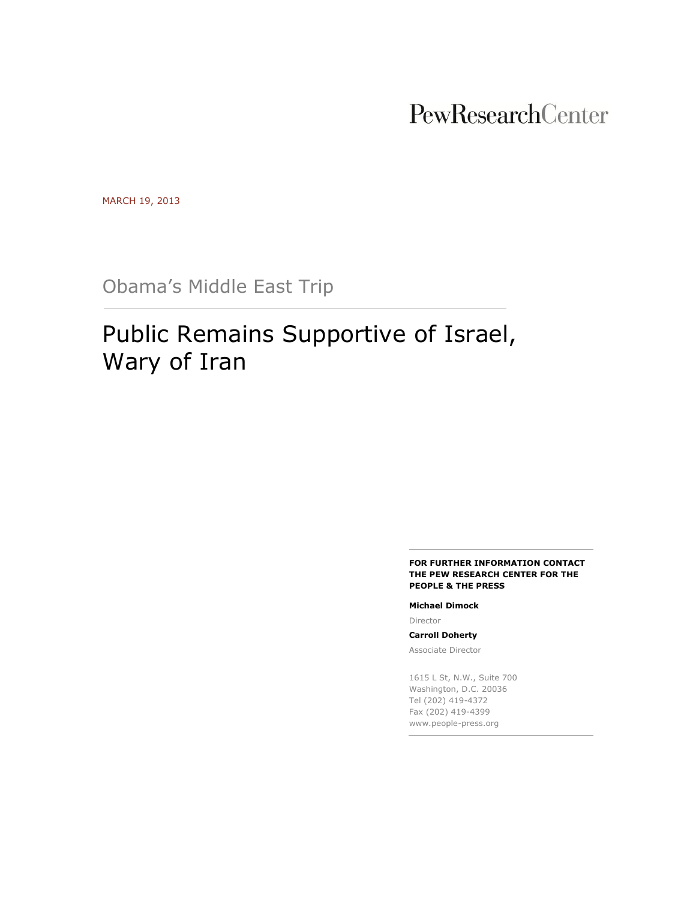## PewResearchCenter

MARCH 19, 2013

Obama's Middle East Trip

# Public Remains Supportive of Israel, Wary of Iran

#### **FOR FURTHER INFORMATION CONTACT THE PEW RESEARCH CENTER FOR THE PEOPLE & THE PRESS**

#### **Michael Dimock**

Director

#### **Carroll Doherty**

Associate Director

1615 L St, N.W., Suite 700 Washington, D.C. 20036 Tel (202) 419-4372 Fax (202) 419-4399 www.people-press.org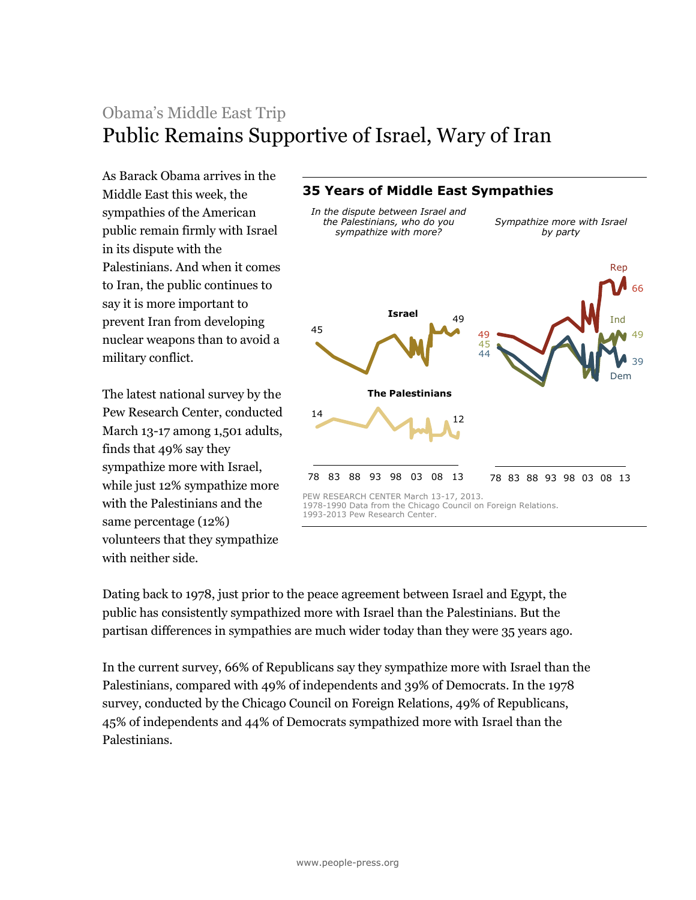## Obama's Middle East Trip Public Remains Supportive of Israel, Wary of Iran

As Barack Obama arrives in the Middle East this week, the sympathies of the American public remain firmly with Israel in its dispute with the Palestinians. And when it comes to Iran, the public continues to say it is more important to prevent Iran from developing nuclear weapons than to avoid a military conflict.

The latest national survey by the Pew Research Center, conducted March 13-17 among 1,501 adults, finds that 49% say they sympathize more with Israel, while just 12% sympathize more with the Palestinians and the same percentage (12%) volunteers that they sympathize with neither side.

## 45 49  $14$   $12$ 78 83 88 93 98 03 08 13 **Israel The Palestinians** 49 66 45 49 44 39 78 83 88 93 98 03 08 13 Rep Dem Ind **35 Years of Middle East Sympathies** *In the dispute between Israel and the Palestinians, who do you sympathize with more? Sympathize more with Israel by party* PEW RESEARCH CENTER March 13-17, 2013. 1978-1990 Data from the Chicago Council on Foreign Relations. 1993-2013 Pew Research Center.

Dating back to 1978, just prior to the peace agreement between Israel and Egypt, the public has consistently sympathized more with Israel than the Palestinians. But the partisan differences in sympathies are much wider today than they were 35 years ago.

In the current survey, 66% of Republicans say they sympathize more with Israel than the Palestinians, compared with 49% of independents and 39% of Democrats. In the 1978 survey, conducted by the Chicago Council on Foreign Relations, 49% of Republicans, 45% of independents and 44% of Democrats sympathized more with Israel than the Palestinians.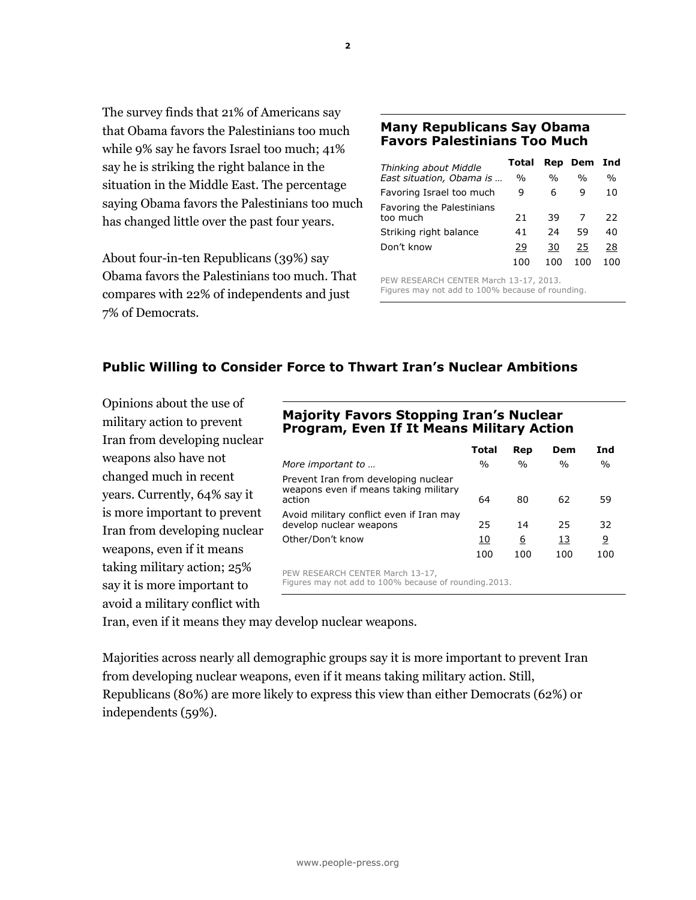The survey finds that 21% of Americans say that Obama favors the Palestinians too much while 9% say he favors Israel too much; 41% say he is striking the right balance in the situation in the Middle East. The percentage saying Obama favors the Palestinians too much has changed little over the past four years.

About four-in-ten Republicans (39%) say Obama favors the Palestinians too much. That compares with 22% of independents and just 7% of Democrats.

## **Many Republicans Say Obama Favors Palestinians Too Much**

| Thinking about Middle     | Total         |               | <b>Rep Dem</b> | Ind           |
|---------------------------|---------------|---------------|----------------|---------------|
| East situation, Obama is  | $\frac{0}{0}$ | $\frac{0}{0}$ | $\frac{0}{0}$  | $\frac{0}{0}$ |
| Favoring Israel too much  | 9             | 6             | q              | 10            |
| Favoring the Palestinians |               |               |                |               |
| too much                  | 21            | 39            |                | 22            |
| Striking right balance    | 41            | 24            | 59             | 40            |
| Don't know                | 29            | 30            | 25             | 28            |
|                           | 100           |               | 100            | nn            |

PEW RESEARCH CENTER March 13-17, 2013. Figures may not add to 100% because of rounding.

## **Public Willing to Consider Force to Thwart Iran's Nuclear Ambitions**

Opinions about the use of military action to prevent Iran from developing nuclear weapons also have not changed much in recent years. Currently, 64% say it is more important to prevent Iran from developing nuclear weapons, even if it means taking military action; 25% say it is more important to avoid a military conflict with

## **Majority Favors Stopping Iran's Nuclear Program, Even If It Means Military Action**

|                                                                                            | <b>Total</b> | Rep           | Dem           | Ind           |
|--------------------------------------------------------------------------------------------|--------------|---------------|---------------|---------------|
| More important to                                                                          | $\%$         | $\frac{0}{0}$ | $\frac{0}{0}$ | $\frac{0}{0}$ |
| Prevent Iran from developing nuclear<br>weapons even if means taking military<br>action    | 64           | 80            | 62            | 59            |
| Avoid military conflict even if Iran may<br>develop nuclear weapons                        | 25           | 14            | 25            | 32            |
| Other/Don't know                                                                           | 10           | 6             | 13            | 9             |
|                                                                                            | 100          | 100           | 100           | 100           |
| PEW RESEARCH CENTER March 13-17,<br>Figures may not add to 100% because of rounding. 2013. |              |               |               |               |

Iran, even if it means they may develop nuclear weapons.

Majorities across nearly all demographic groups say it is more important to prevent Iran from developing nuclear weapons, even if it means taking military action. Still, Republicans (80%) are more likely to express this view than either Democrats (62%) or independents (59%).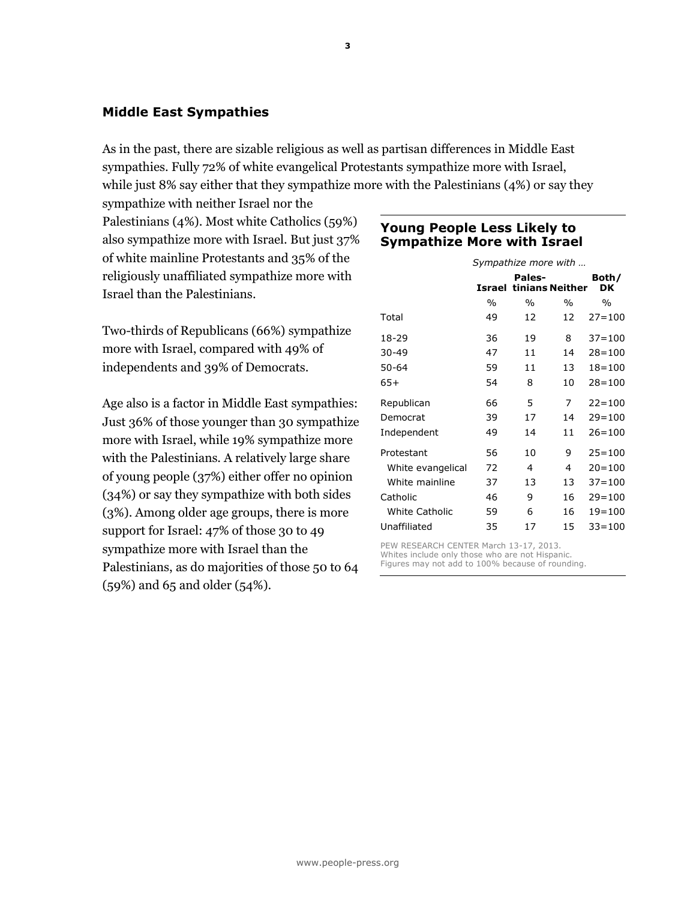## **Middle East Sympathies**

As in the past, there are sizable religious as well as partisan differences in Middle East sympathies. Fully 72% of white evangelical Protestants sympathize more with Israel, while just 8% say either that they sympathize more with the Palestinians (4%) or say they

sympathize with neither Israel nor the Palestinians (4%). Most white Catholics (59%) also sympathize more with Israel. But just 37% of white mainline Protestants and 35% of the religiously unaffiliated sympathize more with Israel than the Palestinians.

Two-thirds of Republicans (66%) sympathize more with Israel, compared with 49% of independents and 39% of Democrats.

Age also is a factor in Middle East sympathies: Just 36% of those younger than 30 sympathize more with Israel, while 19% sympathize more with the Palestinians. A relatively large share of young people (37%) either offer no opinion (34%) or say they sympathize with both sides (3%). Among older age groups, there is more support for Israel: 47% of those 30 to 49 sympathize more with Israel than the Palestinians, as do majorities of those 50 to 64 (59%) and 65 and older (54%).

## **Young People Less Likely to Sympathize More with Israel**

|                   |               | Sympathize more with                    |               |               |
|-------------------|---------------|-----------------------------------------|---------------|---------------|
|                   |               | Pales-<br><b>Israel tinians Neither</b> |               | Both/<br>DK   |
|                   | $\frac{0}{0}$ | $\frac{0}{0}$                           | $\frac{0}{0}$ | $\frac{0}{0}$ |
| Total             | 49            | 12                                      | 12            | $27 = 100$    |
| 18-29             | 36            | 19                                      | 8             | $37 = 100$    |
| 30-49             | 47            | 11                                      | 14            | $28 = 100$    |
| 50-64             | 59            | 11                                      | 13            | $18 = 100$    |
| $65+$             | 54            | 8                                       | 10            | $28 = 100$    |
| Republican        | 66            | 5                                       | 7             | $22 = 100$    |
| Democrat          | 39            | 17                                      | 14            | $29 = 100$    |
| Independent       | 49            | 14                                      | 11            | $26 = 100$    |
| Protestant        | 56            | 10                                      | 9             | $25 = 100$    |
| White evangelical | 72            | 4                                       | 4             | $20 = 100$    |
| White mainline    | 37            | 13                                      | 13            | $37 = 100$    |
| Catholic          | 46            | 9                                       | 16            | $29 = 100$    |
| White Catholic    | 59            | 6                                       | 16            | $19 = 100$    |
| Unaffiliated      | 35            | 17                                      | 15            | $33 = 100$    |

PEW RESEARCH CENTER March 13-17, 2013. Whites include only those who are not Hispanic. Figures may not add to 100% because of rounding.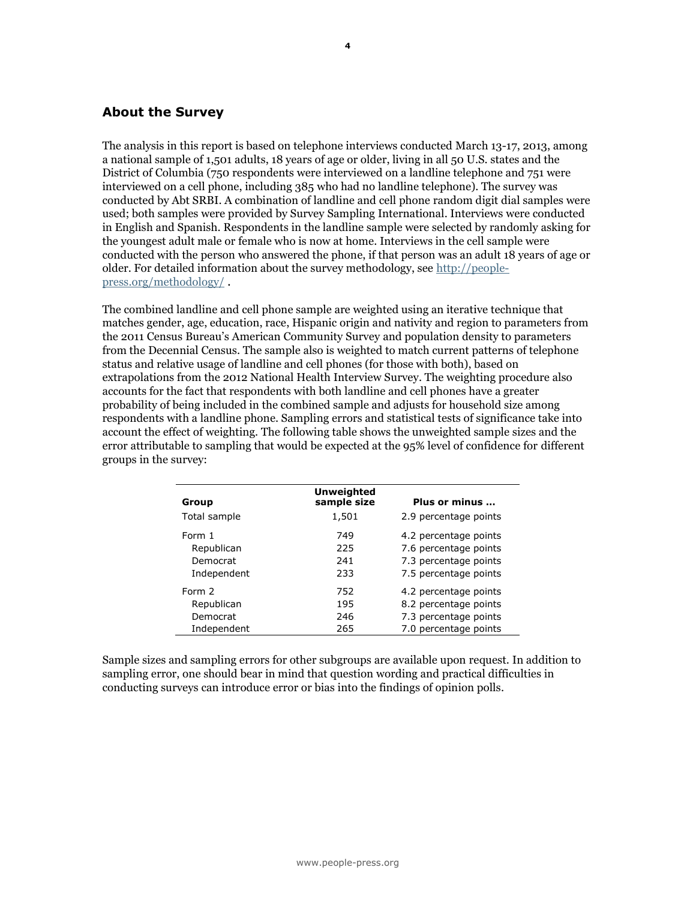## **About the Survey**

The analysis in this report is based on telephone interviews conducted March 13-17, 2013, among a national sample of 1,501 adults, 18 years of age or older, living in all 50 U.S. states and the District of Columbia (750 respondents were interviewed on a landline telephone and 751 were interviewed on a cell phone, including 385 who had no landline telephone). The survey was conducted by Abt SRBI. A combination of landline and cell phone random digit dial samples were used; both samples were provided by Survey Sampling International. Interviews were conducted in English and Spanish. Respondents in the landline sample were selected by randomly asking for the youngest adult male or female who is now at home. Interviews in the cell sample were conducted with the person who answered the phone, if that person was an adult 18 years of age or older. For detailed information about the survey methodology, see [http://people](http://people-press.org/methodology/)[press.org/methodology/](http://people-press.org/methodology/) .

The combined landline and cell phone sample are weighted using an iterative technique that matches gender, age, education, race, Hispanic origin and nativity and region to parameters from the 2011 Census Bureau's American Community Survey and population density to parameters from the Decennial Census. The sample also is weighted to match current patterns of telephone status and relative usage of landline and cell phones (for those with both), based on extrapolations from the 2012 National Health Interview Survey. The weighting procedure also accounts for the fact that respondents with both landline and cell phones have a greater probability of being included in the combined sample and adjusts for household size among respondents with a landline phone. Sampling errors and statistical tests of significance take into account the effect of weighting. The following table shows the unweighted sample sizes and the error attributable to sampling that would be expected at the 95% level of confidence for different groups in the survey:

| Group        | <b>Unweighted</b><br>sample size | Plus or minus         |
|--------------|----------------------------------|-----------------------|
| Total sample | 1,501                            | 2.9 percentage points |
| Form 1       | 749                              | 4.2 percentage points |
| Republican   | 225                              | 7.6 percentage points |
| Democrat     | 241                              | 7.3 percentage points |
| Independent  | 233                              | 7.5 percentage points |
| Form 2       | 752                              | 4.2 percentage points |
| Republican   | 195                              | 8.2 percentage points |
| Democrat     | 246                              | 7.3 percentage points |
| Independent  | 265                              | 7.0 percentage points |

Sample sizes and sampling errors for other subgroups are available upon request. In addition to sampling error, one should bear in mind that question wording and practical difficulties in conducting surveys can introduce error or bias into the findings of opinion polls.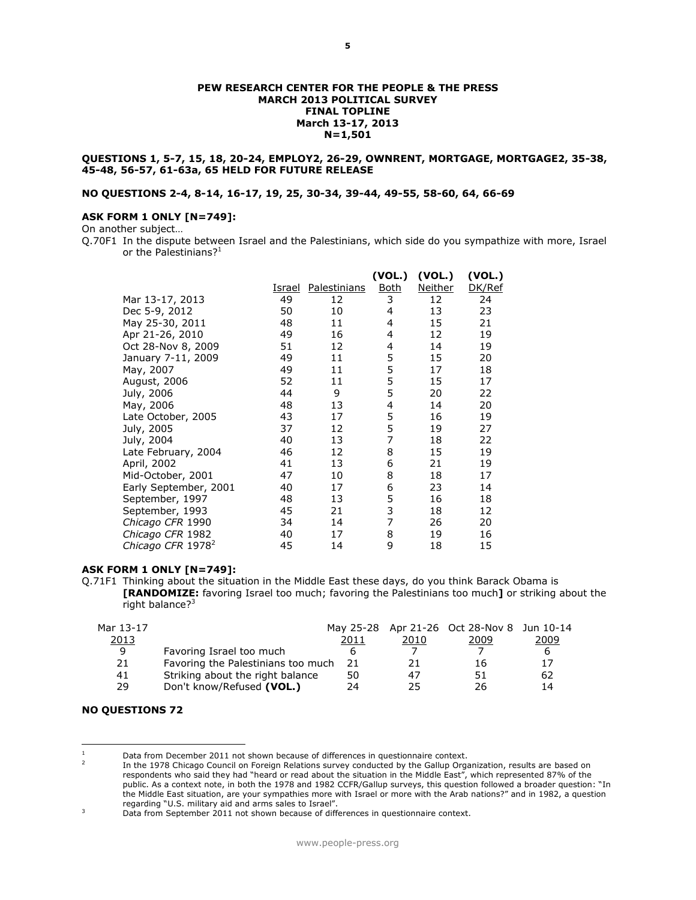#### **PEW RESEARCH CENTER FOR THE PEOPLE & THE PRESS MARCH 2013 POLITICAL SURVEY FINAL TOPLINE March 13-17, 2013 N=1,501**

#### **QUESTIONS 1, 5-7, 15, 18, 20-24, EMPLOY2, 26-29, OWNRENT, MORTGAGE, MORTGAGE2, 35-38, 45-48, 56-57, 61-63a, 65 HELD FOR FUTURE RELEASE**

#### **NO QUESTIONS 2-4, 8-14, 16-17, 19, 25, 30-34, 39-44, 49-55, 58-60, 64, 66-69**

#### **ASK FORM 1 ONLY [N=749]:**

On another subject…

Q.70F1 In the dispute between Israel and the Palestinians, which side do you sympathize with more, Israel or the Palestinians? $1$ 

|                               |        |              | (VOL.)         | (VOL.)         | (VOL.) |
|-------------------------------|--------|--------------|----------------|----------------|--------|
|                               | Israel | Palestinians | <b>Both</b>    | <b>Neither</b> | DK/Ref |
| Mar 13-17, 2013               | 49     | 12           | 3              | 12             | 24     |
| Dec 5-9, 2012                 | 50     | 10           | 4              | 13             | 23     |
| May 25-30, 2011               | 48     | 11           | 4              | 15             | 21     |
| Apr 21-26, 2010               | 49     | 16           | 4              | 12             | 19     |
| Oct 28-Nov 8, 2009            | 51     | 12           | 4              | 14             | 19     |
| January 7-11, 2009            | 49     | 11           | 5              | 15             | 20     |
| May, 2007                     | 49     | 11           | 5              | 17             | 18     |
| August, 2006                  | 52     | 11           | 5              | 15             | 17     |
| July, 2006                    | 44     | 9            | 5              | 20             | 22     |
| May, 2006                     | 48     | 13           | 4              | 14             | 20     |
| Late October, 2005            | 43     | 17           | 5              | 16             | 19     |
| July, 2005                    | 37     | 12           | 5              | 19             | 27     |
| July, 2004                    | 40     | 13           | 7              | 18             | 22     |
| Late February, 2004           | 46     | 12           | 8              | 15             | 19     |
| April, 2002                   | 41     | 13           | 6              | 21             | 19     |
| Mid-October, 2001             | 47     | 10           | 8              | 18             | 17     |
| Early September, 2001         | 40     | 17           | 6              | 23             | 14     |
| September, 1997               | 48     | 13           | 5              | 16             | 18     |
| September, 1993               | 45     | 21           | 3              | 18             | 12     |
| Chicago CFR 1990              | 34     | 14           | $\overline{7}$ | 26             | 20     |
| Chicago CFR 1982              | 40     | 17           | 8              | 19             | 16     |
| Chicago CFR 1978 <sup>2</sup> | 45     | 14           | 9              | 18             | 15     |

#### **ASK FORM 1 ONLY [N=749]:**

Q.71F1 Thinking about the situation in the Middle East these days, do you think Barack Obama is **[RANDOMIZE:** favoring Israel too much; favoring the Palestinians too much**]** or striking about the right balance?<sup>3</sup>

|                                  | 2011 | 2010                               | 2009 | 2009                                       |
|----------------------------------|------|------------------------------------|------|--------------------------------------------|
| Favoring Israel too much         |      |                                    |      |                                            |
|                                  | 21   | 21                                 | 16   |                                            |
| Striking about the right balance | 50   | 47                                 | 51   | 62                                         |
| Don't know/Refused (VOL.)        | 24   | 25                                 | 26   | 14                                         |
|                                  |      | Favoring the Palestinians too much |      | May 25-28 Apr 21-26 Oct 28-Nov 8 Jun 10-14 |

#### **NO QUESTIONS 72**

 $\overline{a}$ 

Data from December 2011 not shown because of differences in questionnaire context.

<sup>2</sup> In the 1978 Chicago Council on Foreign Relations survey conducted by the Gallup Organization, results are based on respondents who said they had "heard or read about the situation in the Middle East", which represented 87% of the public. As a context note, in both the 1978 and 1982 CCFR/Gallup surveys, this question followed a broader question: "In the Middle East situation, are your sympathies more with Israel or more with the Arab nations?" and in 1982, a question regarding "U.S. military aid and arms sales to Israel".

<sup>&</sup>lt;sup>3</sup> Data from September 2011 not shown because of differences in questionnaire context.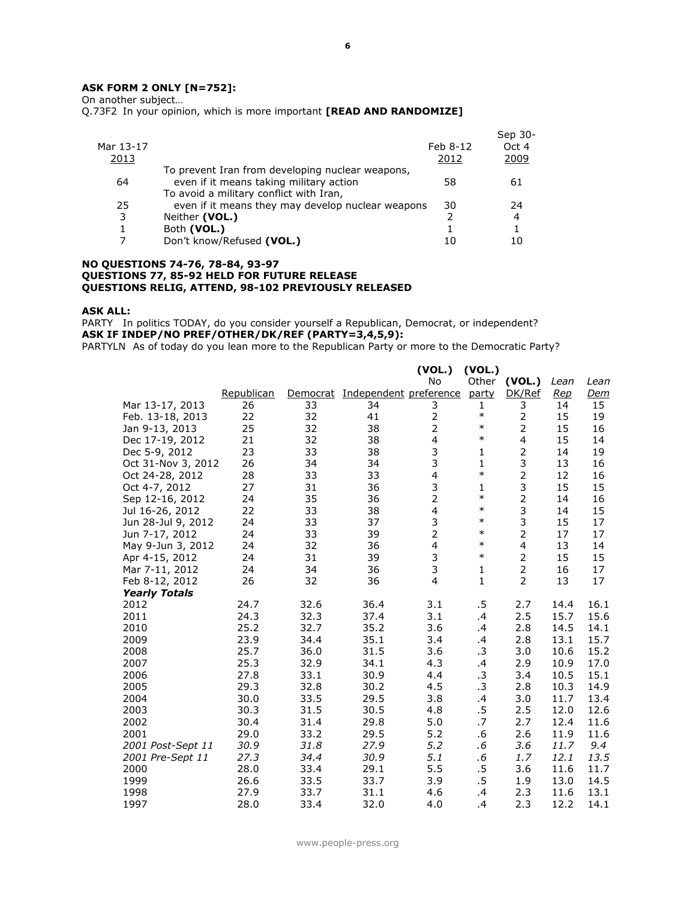## **ASK FORM 2 ONLY [N=752]:**

On another subject…

Q.73F2 In your opinion, which is more important **[READ AND RANDOMIZE]**

|              |                                                   |               | Sep 30- |
|--------------|---------------------------------------------------|---------------|---------|
| Mar 13-17    |                                                   | Feb 8-12      | Oct 4   |
| <u> 2013</u> |                                                   | 2012          | 2009    |
|              | To prevent Iran from developing nuclear weapons,  |               |         |
| 64           | even if it means taking military action           | 58            | 61      |
|              | To avoid a military conflict with Iran,           |               |         |
| 25           | even if it means they may develop nuclear weapons | 30            | 24      |
| 3            | Neither (VOL.)                                    | $\mathcal{P}$ | 4       |
|              | Both (VOL.)                                       |               |         |
|              | Don't know/Refused (VOL.)                         | 10            |         |
|              |                                                   |               |         |

#### **NO QUESTIONS 74-76, 78-84, 93-97 QUESTIONS 77, 85-92 HELD FOR FUTURE RELEASE QUESTIONS RELIG, ATTEND, 98-102 PREVIOUSLY RELEASED**

#### **ASK ALL:**

PARTY In politics TODAY, do you consider yourself a Republican, Democrat, or independent? **ASK IF INDEP/NO PREF/OTHER/DK/REF (PARTY=3,4,5,9):**

PARTYLN As of today do you lean more to the Republican Party or more to the Democratic Party?

|                      |            |          |                        | (VOL.)                  | (VOL.)       |                |      |            |
|----------------------|------------|----------|------------------------|-------------------------|--------------|----------------|------|------------|
|                      |            |          |                        | <b>No</b>               | Other        | (VOL.)         | Lean | Lean       |
|                      | Republican | Democrat | Independent preference |                         | party        | DK/Ref         | Rep  | <u>Dem</u> |
| Mar 13-17, 2013      | 26         | 33       | 34                     | 3                       | $\mathbf{1}$ | 3              | 14   | 15         |
| Feb. 13-18, 2013     | 22         | 32       | 41                     | $\overline{c}$          | $\ast$       | $\mathbf 2$    | 15   | 19         |
| Jan 9-13, 2013       | 25         | 32       | 38                     | 2                       | $\ast$       | $\overline{2}$ | 15   | 16         |
| Dec 17-19, 2012      | 21         | 32       | 38                     | 4                       | $\ast$       | 4              | 15   | 14         |
| Dec 5-9, 2012        | 23         | 33       | 38                     | 3                       | 1            | $\overline{2}$ | 14   | 19         |
| Oct 31-Nov 3, 2012   | 26         | 34       | 34                     | 3                       | $\mathbf{1}$ | 3              | 13   | 16         |
| Oct 24-28, 2012      | 28         | 33       | 33                     | $\overline{4}$          | $\ast$       | $\overline{2}$ | 12   | 16         |
| Oct 4-7, 2012        | 27         | 31       | 36                     | 3                       | 1            | 3              | 15   | 15         |
| Sep 12-16, 2012      | 24         | 35       | 36                     | $\overline{2}$          | $\ast$       | $\overline{2}$ | 14   | 16         |
| Jul 16-26, 2012      | 22         | 33       | 38                     | $\overline{\mathbf{4}}$ | $\ast$       | 3              | 14   | 15         |
| Jun 28-Jul 9, 2012   | 24         | 33       | 37                     | 3                       | $\ast$       | 3              | 15   | 17         |
| Jun 7-17, 2012       | 24         | 33       | 39                     | $\overline{2}$          | $\ast$       | $\overline{2}$ | 17   | 17         |
| May 9-Jun 3, 2012    | 24         | 32       | 36                     | 4                       | $\ast$       | $\overline{4}$ | 13   | 14         |
| Apr 4-15, 2012       | 24         | 31       | 39                     | 3                       | $\ast$       | $\overline{2}$ | 15   | 15         |
| Mar 7-11, 2012       | 24         | 34       | 36                     | 3                       | 1            | $\overline{2}$ | 16   | 17         |
| Feb 8-12, 2012       | 26         | 32       | 36                     | $\overline{4}$          | $\mathbf{1}$ | $\overline{2}$ | 13   | 17         |
| <b>Yearly Totals</b> |            |          |                        |                         |              |                |      |            |
| 2012                 | 24.7       | 32.6     | 36.4                   | 3.1                     | .5           | 2.7            | 14.4 | 16.1       |
| 2011                 | 24.3       | 32.3     | 37.4                   | 3.1                     | .4           | 2.5            | 15.7 | 15.6       |
| 2010                 | 25.2       | 32.7     | 35.2                   | 3.6                     | .4           | 2.8            | 14.5 | 14.1       |
| 2009                 | 23.9       | 34.4     | 35.1                   | 3.4                     | .4           | 2.8            | 13.1 | 15.7       |
| 2008                 | 25.7       | 36.0     | 31.5                   | 3.6                     | .3           | 3.0            | 10.6 | 15.2       |
| 2007                 | 25.3       | 32.9     | 34.1                   | 4.3                     | .4           | 2.9            | 10.9 | 17.0       |
| 2006                 | 27.8       | 33.1     | 30.9                   | 4.4                     | $\cdot$      | 3.4            | 10.5 | 15.1       |
| 2005                 | 29.3       | 32.8     | 30.2                   | 4.5                     | .3           | 2.8            | 10.3 | 14.9       |
| 2004                 | 30.0       | 33.5     | 29.5                   | 3.8                     | .4           | 3.0            | 11.7 | 13.4       |
| 2003                 | 30.3       | 31.5     | 30.5                   | 4.8                     | .5           | 2.5            | 12.0 | 12.6       |
| 2002                 | 30.4       | 31.4     | 29.8                   | 5.0                     | .7           | 2.7            | 12.4 | 11.6       |
| 2001                 | 29.0       | 33.2     | 29.5                   | 5.2                     | .6           | 2.6            | 11.9 | 11.6       |
| 2001 Post-Sept 11    | 30.9       | 31.8     | 27.9                   | 5.2                     | .6           | 3.6            | 11.7 | 9.4        |
| 2001 Pre-Sept 11     | 27.3       | 34.4     | 30.9                   | 5.1                     | .6           | 1.7            | 12.1 | 13.5       |
| 2000                 | 28.0       | 33.4     | 29.1                   | 5.5                     | .5           | 3.6            | 11.6 | 11.7       |
| 1999                 | 26.6       | 33.5     | 33.7                   | 3.9                     | .5           | 1.9            | 13.0 | 14.5       |
| 1998                 | 27.9       | 33.7     | 31.1                   | 4.6                     | .4           | 2.3            | 11.6 | 13.1       |
| 1997                 | 28.0       | 33.4     | 32.0                   | 4.0                     | .4           | 2.3            | 12.2 | 14.1       |